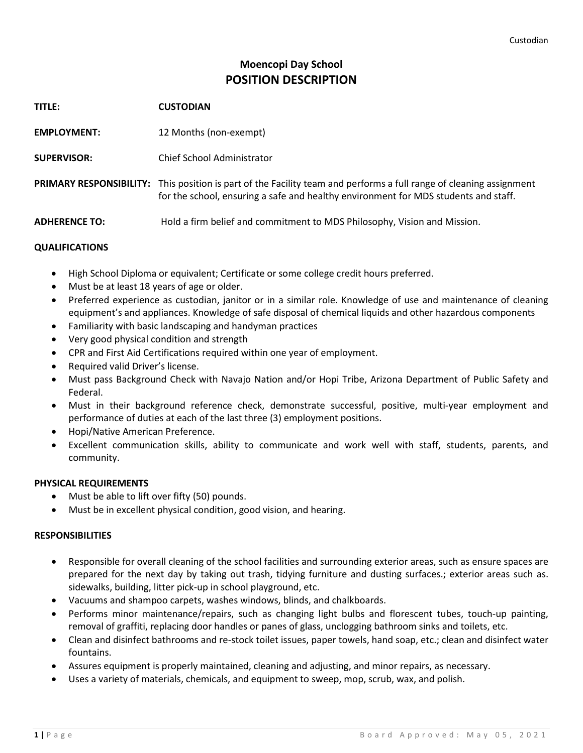# **Moencopi Day School POSITION DESCRIPTION**

**TITLE: CUSTODIAN EMPLOYMENT:** 12 Months (non-exempt) **SUPERVISOR:** Chief School Administrator **PRIMARY RESPONSIBILITY:** This position is part of the Facility team and performs a full range of cleaning assignment for the school, ensuring a safe and healthy environment for MDS students and staff. **ADHERENCE TO:** Hold a firm belief and commitment to MDS Philosophy, Vision and Mission.

## **QUALIFICATIONS**

- High School Diploma or equivalent; Certificate or some college credit hours preferred.
- Must be at least 18 years of age or older.
- Preferred experience as custodian, janitor or in a similar role. Knowledge of use and maintenance of cleaning equipment's and appliances. Knowledge of safe disposal of chemical liquids and other hazardous components
- Familiarity with basic landscaping and handyman practices
- Very good physical condition and strength
- CPR and First Aid Certifications required within one year of employment.
- Required valid Driver's license.
- Must pass Background Check with Navajo Nation and/or Hopi Tribe, Arizona Department of Public Safety and Federal.
- Must in their background reference check, demonstrate successful, positive, multi-year employment and performance of duties at each of the last three (3) employment positions.
- Hopi/Native American Preference.
- Excellent communication skills, ability to communicate and work well with staff, students, parents, and community.

### **PHYSICAL REQUIREMENTS**

- Must be able to lift over fifty (50) pounds.
- Must be in excellent physical condition, good vision, and hearing.

### **RESPONSIBILITIES**

- Responsible for overall cleaning of the school facilities and surrounding exterior areas, such as ensure spaces are prepared for the next day by taking out trash, tidying furniture and dusting surfaces.; exterior areas such as. sidewalks, building, litter pick-up in school playground, etc.
- Vacuums and shampoo carpets, washes windows, blinds, and chalkboards.
- Performs minor maintenance/repairs, such as changing light bulbs and florescent tubes, touch-up painting, removal of graffiti, replacing door handles or panes of glass, unclogging bathroom sinks and toilets, etc.
- Clean and disinfect bathrooms and re-stock toilet issues, paper towels, hand soap, etc.; clean and disinfect water fountains.
- Assures equipment is properly maintained, cleaning and adjusting, and minor repairs, as necessary.
- Uses a variety of materials, chemicals, and equipment to sweep, mop, scrub, wax, and polish.